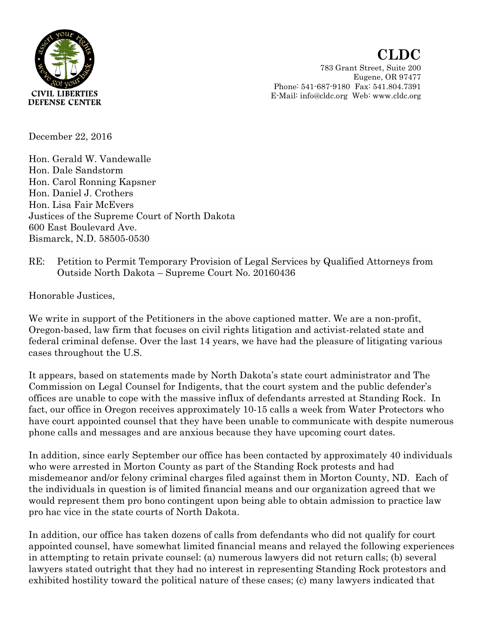

Eugene, OR 97477 Phone: 541-687-9180 Fax: 541.804.7391 E-Mail: info@cldc.org Web: www.cldc.org

December 22, 2016

Hon. Gerald W. Vandewalle Hon. Dale Sandstorm Hon. Carol Ronning Kapsner Hon. Daniel J. Crothers Hon. Lisa Fair McEvers Justices of the Supreme Court of North Dakota 600 East Boulevard Ave. Bismarck, N.D. 58505-0530

RE: Petition to Permit Temporary Provision of Legal Services by Qualified Attorneys from Outside North Dakota – Supreme Court No. 20160436

Honorable Justices,

We write in support of the Petitioners in the above captioned matter. We are a non-profit, Oregon-based, law firm that focuses on civil rights litigation and activist-related state and federal criminal defense. Over the last 14 years, we have had the pleasure of litigating various cases throughout the U.S.

It appears, based on statements made by North Dakota's state court administrator and The Commission on Legal Counsel for Indigents, that the court system and the public defender's offices are unable to cope with the massive influx of defendants arrested at Standing Rock. In fact, our office in Oregon receives approximately 10-15 calls a week from Water Protectors who have court appointed counsel that they have been unable to communicate with despite numerous phone calls and messages and are anxious because they have upcoming court dates.

In addition, since early September our office has been contacted by approximately 40 individuals who were arrested in Morton County as part of the Standing Rock protests and had misdemeanor and/or felony criminal charges filed against them in Morton County, ND. Each of the individuals in question is of limited financial means and our organization agreed that we would represent them pro bono contingent upon being able to obtain admission to practice law pro hac vice in the state courts of North Dakota.

In addition, our office has taken dozens of calls from defendants who did not qualify for court appointed counsel, have somewhat limited financial means and relayed the following experiences in attempting to retain private counsel: (a) numerous lawyers did not return calls; (b) several lawyers stated outright that they had no interest in representing Standing Rock protestors and exhibited hostility toward the political nature of these cases; (c) many lawyers indicated that